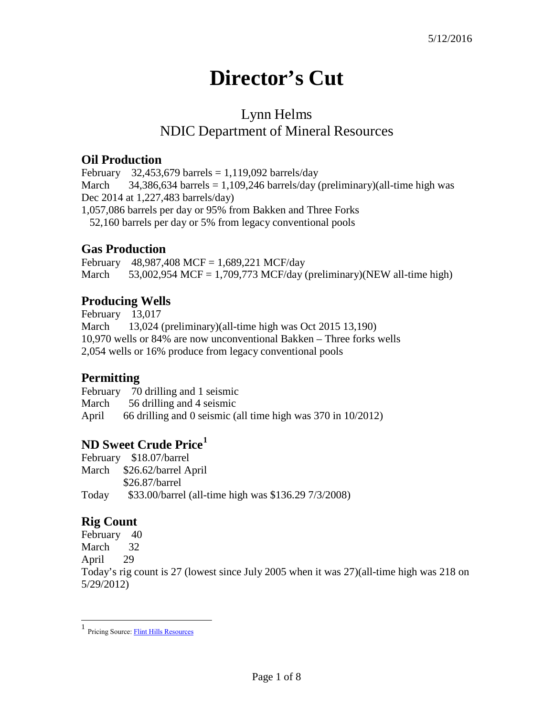# **Director's Cut**

## Lynn Helms NDIC Department of Mineral Resources

#### **Oil Production**

February 32,453,679 barrels = 1,119,092 barrels/day March  $34,386,634$  barrels = 1,109,246 barrels/day (preliminary)(all-time high was Dec 2014 at 1,227,483 barrels/day) 1,057,086 barrels per day or 95% from Bakken and Three Forks 52,160 barrels per day or 5% from legacy conventional pools

## **Gas Production**

February 48,987,408 MCF = 1,689,221 MCF/day March  $53,002,954$  MCF = 1,709,773 MCF/day (preliminary)(NEW all-time high)

## **Producing Wells**

February 13,017 March 13,024 (preliminary)(all-time high was Oct 2015 13,190) 10,970 wells or 84% are now unconventional Bakken – Three forks wells 2,054 wells or 16% produce from legacy conventional pools

## **Permitting**

February 70 drilling and 1 seismic March 56 drilling and 4 seismic April 66 drilling and 0 seismic (all time high was 370 in 10/2012)

## **ND Sweet Crude Price[1](#page-0-0)**

February \$18.07/barrel March \$26.62/barrel April \$26.87/barrel Today \$33.00/barrel (all-time high was \$136.29 7/3/2008)

## **Rig Count**

February 40 March 32 April 29 Today's rig count is 27 (lowest since July 2005 when it was 27)(all-time high was 218 on 5/29/2012)

<span id="page-0-0"></span><sup>1</sup> Pricing Source: Flint Hills [Resources](http://www.fhr.com/refining/bulletins.aspx?AspxAutoDetectCookieSupport=1)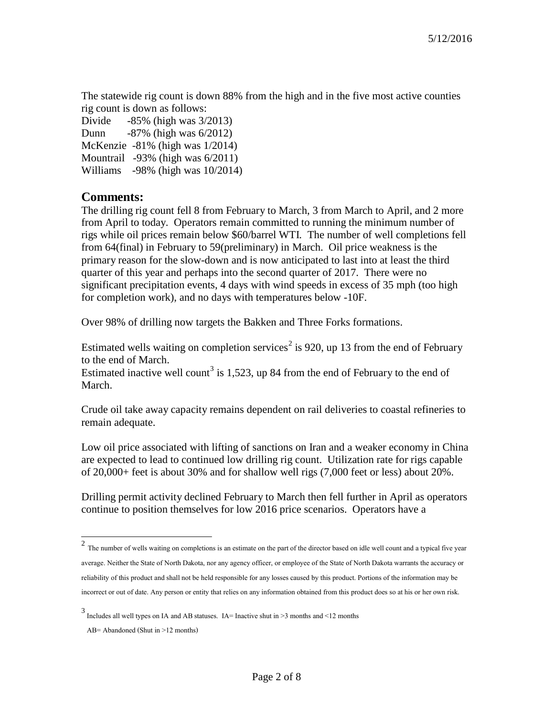The statewide rig count is down 88% from the high and in the five most active counties rig count is down as follows:

Divide -85% (high was 3/2013) Dunn -87% (high was 6/2012) McKenzie -81% (high was 1/2014) Mountrail -93% (high was 6/2011) Williams -98% (high was 10/2014)

#### **Comments:**

The drilling rig count fell 8 from February to March, 3 from March to April, and 2 more from April to today. Operators remain committed to running the minimum number of rigs while oil prices remain below \$60/barrel WTI. The number of well completions fell from 64(final) in February to 59(preliminary) in March. Oil price weakness is the primary reason for the slow-down and is now anticipated to last into at least the third quarter of this year and perhaps into the second quarter of 2017. There were no significant precipitation events, 4 days with wind speeds in excess of 35 mph (too high for completion work), and no days with temperatures below -10F.

Over 98% of drilling now targets the Bakken and Three Forks formations.

Estimated wells waiting on completion services<sup>[2](#page-1-0)</sup> is 920, up 13 from the end of February to the end of March.

Estimated inactive well count<sup>[3](#page-1-1)</sup> is 1,523, up 84 from the end of February to the end of March.

Crude oil take away capacity remains dependent on rail deliveries to coastal refineries to remain adequate.

Low oil price associated with lifting of sanctions on Iran and a weaker economy in China are expected to lead to continued low drilling rig count. Utilization rate for rigs capable of 20,000+ feet is about 30% and for shallow well rigs (7,000 feet or less) about 20%.

Drilling permit activity declined February to March then fell further in April as operators continue to position themselves for low 2016 price scenarios. Operators have a

<span id="page-1-0"></span> $2$  The number of wells waiting on completions is an estimate on the part of the director based on idle well count and a typical five year average. Neither the State of North Dakota, nor any agency officer, or employee of the State of North Dakota warrants the accuracy or reliability of this product and shall not be held responsible for any losses caused by this product. Portions of the information may be incorrect or out of date. Any person or entity that relies on any information obtained from this product does so at his or her own risk.

<span id="page-1-1"></span> $3$  Includes all well types on IA and AB statuses. IA= Inactive shut in >3 months and <12 months

AB= Abandoned (Shut in >12 months)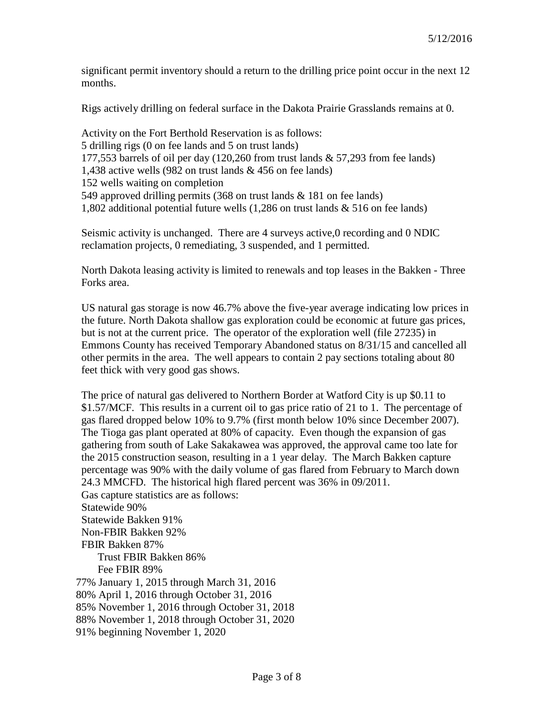significant permit inventory should a return to the drilling price point occur in the next 12 months.

Rigs actively drilling on federal surface in the Dakota Prairie Grasslands remains at 0.

Activity on the Fort Berthold Reservation is as follows: 5 drilling rigs (0 on fee lands and 5 on trust lands) 177,553 barrels of oil per day (120,260 from trust lands & 57,293 from fee lands) 1,438 active wells (982 on trust lands & 456 on fee lands) 152 wells waiting on completion 549 approved drilling permits (368 on trust lands & 181 on fee lands) 1,802 additional potential future wells (1,286 on trust lands & 516 on fee lands)

Seismic activity is unchanged. There are 4 surveys active,0 recording and 0 NDIC reclamation projects, 0 remediating, 3 suspended, and 1 permitted.

North Dakota leasing activity is limited to renewals and top leases in the Bakken - Three Forks area.

US natural gas storage is now 46.7% above the five-year average indicating low prices in the future. North Dakota shallow gas exploration could be economic at future gas prices, but is not at the current price. The operator of the exploration well (file 27235) in Emmons County has received Temporary Abandoned status on 8/31/15 and cancelled all other permits in the area. The well appears to contain 2 pay sections totaling about 80 feet thick with very good gas shows.

The price of natural gas delivered to Northern Border at Watford City is up \$0.11 to \$1.57/MCF. This results in a current oil to gas price ratio of 21 to 1. The percentage of gas flared dropped below 10% to 9.7% (first month below 10% since December 2007). The Tioga gas plant operated at 80% of capacity. Even though the expansion of gas gathering from south of Lake Sakakawea was approved, the approval came too late for the 2015 construction season, resulting in a 1 year delay. The March Bakken capture percentage was 90% with the daily volume of gas flared from February to March down 24.3 MMCFD. The historical high flared percent was 36% in 09/2011. Gas capture statistics are as follows: Statewide 90% Statewide Bakken 91% Non-FBIR Bakken 92% FBIR Bakken 87% Trust FBIR Bakken 86% Fee FBIR 89% 77% January 1, 2015 through March 31, 2016 80% April 1, 2016 through October 31, 2016 85% November 1, 2016 through October 31, 2018 88% November 1, 2018 through October 31, 2020

91% beginning November 1, 2020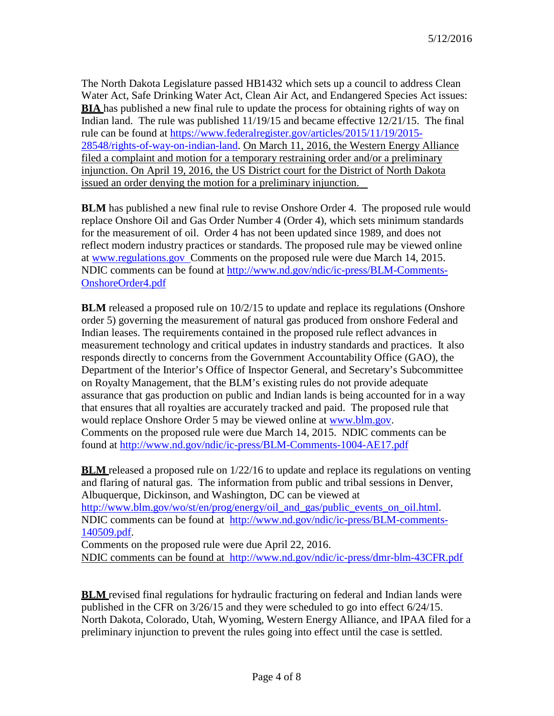The North Dakota Legislature passed HB1432 which sets up a council to address Clean Water Act, Safe Drinking Water Act, Clean Air Act, and Endangered Species Act issues: **BIA** has published a new final rule to update the process for obtaining rights of way on Indian land. The rule was published 11/19/15 and became effective 12/21/15. The final rule can be found at [https://www.federalregister.gov/articles/2015/11/19/2015-](https://www.federalregister.gov/articles/2015/11/19/2015-28548/rights-of-way-on-indian-land) [28548/rights-of-way-on-indian-land. O](https://www.federalregister.gov/articles/2015/11/19/2015-28548/rights-of-way-on-indian-land)n March 11, 2016, the Western Energy Alliance filed a complaint and motion for a temporary restraining order and/or a preliminary injunction. On April 19, 2016, the US District court for the District of North Dakota issued an order denying the motion for a preliminary injunction.

**BLM** has published a new final rule to revise Onshore Order 4. The proposed rule would replace Onshore Oil and Gas Order Number 4 (Order 4), which sets minimum standards for the measurement of oil. Order 4 has not been updated since 1989, and does not reflect modern industry practices or standards. The proposed rule may be viewed online at [www.regulations.gov C](http://www.regulations.gov/)omments on the proposed rule were due March 14, 2015. NDIC comments can be found at [http://www.nd.gov/ndic/ic-press/BLM-Comments-](http://www.nd.gov/ndic/ic-press/BLM-Comments-OnshoreOrder4.pdf)[OnshoreOrder4.pdf](http://www.nd.gov/ndic/ic-press/BLM-Comments-OnshoreOrder4.pdf)

**BLM** released a proposed rule on  $10/2/15$  to update and replace its regulations (Onshore order 5) governing the measurement of natural gas produced from onshore Federal and Indian leases. The requirements contained in the proposed rule reflect advances in measurement technology and critical updates in industry standards and practices. It also responds directly to concerns from the Government Accountability Office (GAO), the Department of the Interior's Office of Inspector General, and Secretary's Subcommittee on Royalty Management, that the BLM's existing rules do not provide adequate assurance that gas production on public and Indian lands is being accounted for in a way that ensures that all royalties are accurately tracked and paid. The proposed rule that would replace Onshore Order 5 may be viewed online at [www.blm.gov.](http://www.blm.gov/) Comments on the proposed rule were due March 14, 2015. NDIC comments can be found at<http://www.nd.gov/ndic/ic-press/BLM-Comments-1004-AE17.pdf>

**BLM** released a proposed rule on 1/22/16 to update and replace its regulations on venting and flaring of natural gas. The information from public and tribal sessions in Denver, Albuquerque, Dickinson, and Washington, DC can be viewed at [http://www.blm.gov/wo/st/en/prog/energy/oil\\_and\\_gas/public\\_events\\_on\\_oil.html.](http://www.blm.gov/wo/st/en/prog/energy/oil_and_gas/public_events_on_oil.html) NDIC comments can be found at [http://www.nd.gov/ndic/ic-press/BLM-comments-](http://www.nd.gov/ndic/ic-press/BLM-comments-140509.pdf)[140509.pdf.](http://www.nd.gov/ndic/ic-press/BLM-comments-140509.pdf)

Comments on the proposed rule were due April 22, 2016. NDIC comments can be found at <http://www.nd.gov/ndic/ic-press/dmr-blm-43CFR.pdf>

**BLM** revised final regulations for hydraulic fracturing on federal and Indian lands were published in the CFR on 3/26/15 and they were scheduled to go into effect 6/24/15. North Dakota, Colorado, Utah, Wyoming, Western Energy Alliance, and IPAA filed for a preliminary injunction to prevent the rules going into effect until the case is settled.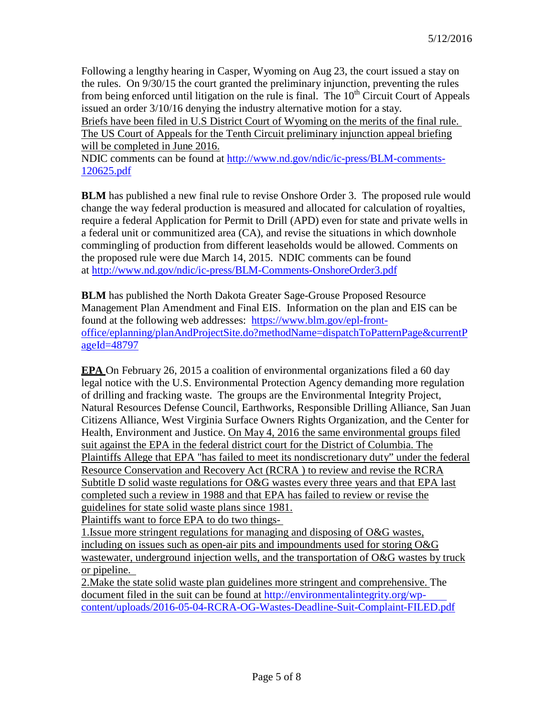Following a lengthy hearing in Casper, Wyoming on Aug 23, the court issued a stay on the rules. On 9/30/15 the court granted the preliminary injunction, preventing the rules from being enforced until litigation on the rule is final. The  $10<sup>th</sup>$  Circuit Court of Appeals issued an order 3/10/16 denying the industry alternative motion for a stay.

Briefs have been filed in U.S District Court of Wyoming on the merits of the final rule. The US Court of Appeals for the Tenth Circuit preliminary injunction appeal briefing will be completed in June 2016.

NDIC comments can be found at [http://www.nd.gov/ndic/ic-press/BLM-comments-](http://www.nd.gov/ndic/ic-press/BLM-comments-120625.pdf)[120625.pdf](http://www.nd.gov/ndic/ic-press/BLM-comments-120625.pdf)

**BLM** has published a new final rule to revise Onshore Order 3. The proposed rule would change the way federal production is measured and allocated for calculation of royalties, require a federal Application for Permit to Drill (APD) even for state and private wells in a federal unit or communitized area (CA), and revise the situations in which downhole commingling of production from different leaseholds would be allowed. Comments on the proposed rule were due March 14, 2015. NDIC comments can be found at<http://www.nd.gov/ndic/ic-press/BLM-Comments-OnshoreOrder3.pdf>

**BLM** has published the North Dakota Greater Sage-Grouse Proposed Resource Management Plan Amendment and Final EIS. Information on the plan and EIS can be found at the following web addresses: [https://www.blm.gov/epl-front](https://www.blm.gov/epl-front-office/eplanning/planAndProjectSite.do?methodName=dispatchToPatternPage&currentPageId=48797)[office/eplanning/planAndProjectSite.do?methodName=dispatchToPatternPage&currentP](https://www.blm.gov/epl-front-office/eplanning/planAndProjectSite.do?methodName=dispatchToPatternPage&currentPageId=48797) [ageId=48797](https://www.blm.gov/epl-front-office/eplanning/planAndProjectSite.do?methodName=dispatchToPatternPage&currentPageId=48797)

**EPA** On February 26, 2015 a coalition of environmental organizations filed a 60 day legal notice with the U.S. Environmental Protection Agency demanding more regulation of drilling and fracking waste. The groups are the Environmental Integrity Project, Natural Resources Defense Council, Earthworks, Responsible Drilling Alliance, San Juan Citizens Alliance, West Virginia Surface Owners Rights Organization, and the Center for Health, Environment and Justice. On May 4, 2016 the same environmental groups filed suit against the EPA in the federal district court for the District of Columbia. The Plaintiffs Allege that EPA "has failed to meet its nondiscretionary duty" under the federal Resource Conservation and Recovery Act (RCRA ) to review and revise the RCRA Subtitle D solid waste regulations for O&G wastes every three years and that EPA last completed such a review in 1988 and that EPA has failed to review or revise the guidelines for state solid waste plans since 1981.

Plaintiffs want to force EPA to do two things-

1.Issue more stringent regulations for managing and disposing of O&G wastes, including on issues such as open-air pits and impoundments used for storing O&G wastewater, underground injection wells, and the transportation of O&G wastes by truck or pipeline.

2.Make the state solid waste plan guidelines more stringent and comprehensive. The document filed in the suit can be found at [http://environmentalintegrity.org/wp](http://environmentalintegrity.org/wp-content/uploads/2016-05-04-RCRA-OG-Wastes-Deadline-Suit-Complaint-FILED.pdf)[content/uploads/2016-05-04-RCRA-OG-Wastes-Deadline-Suit-Complaint-FILED.pdf](http://environmentalintegrity.org/wp-content/uploads/2016-05-04-RCRA-OG-Wastes-Deadline-Suit-Complaint-FILED.pdf)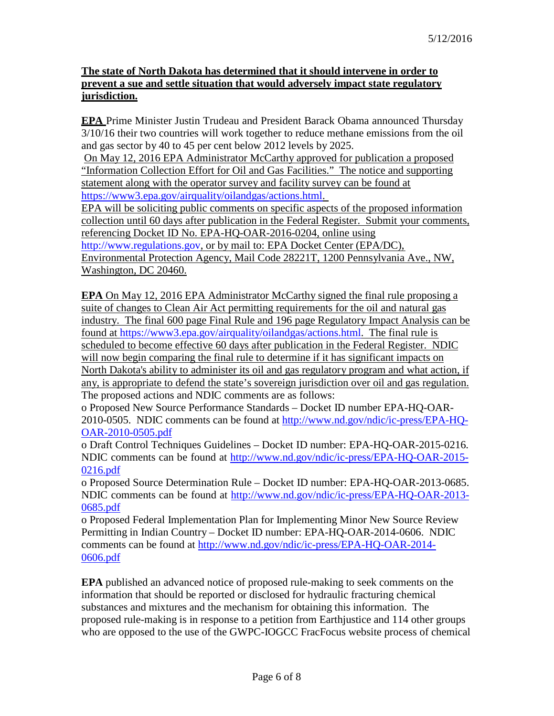#### **The state of North Dakota has determined that it should intervene in order to prevent a sue and settle situation that would adversely impact state regulatory jurisdiction.**

**EPA** Prime Minister Justin Trudeau and President Barack Obama announced Thursday 3/10/16 their two countries will work together to reduce methane emissions from the oil and gas sector by 40 to 45 per cent below 2012 levels by 2025.

On May 12, 2016 EPA Administrator McCarthy approved for publication a proposed "Information Collection Effort for Oil and Gas Facilities." The notice and supporting statement along with the operator survey and facility survey can be found at [https://www3.epa.gov/airquality/oilandgas/actions.html.](https://www3.epa.gov/airquality/oilandgas/actions.html)

EPA will be soliciting public comments on specific aspects of the proposed information collection until 60 days after publication in the Federal Register. Submit your comments, referencing Docket ID No. EPA-HQ-OAR-2016-0204, online using [http://www.regulations.gov,](http://www.regulations.gov/) or by mail to: EPA Docket Center (EPA/DC), Environmental Protection Agency, Mail Code 28221T, 1200 Pennsylvania Ave., NW,

Washington, DC 20460.

**EPA** On May 12, 2016 EPA Administrator McCarthy signed the final rule proposing a suite of changes to Clean Air Act permitting requirements for the oil and natural gas industry. The final 600 page Final Rule and 196 page Regulatory Impact Analysis can be found at [https://www3.epa.gov/airquality/oilandgas/actions.html.](https://www3.epa.gov/airquality/oilandgas/actions.html) The final rule is scheduled to become effective 60 days after publication in the Federal Register. NDIC will now begin comparing the final rule to determine if it has significant impacts on North Dakota's ability to administer its oil and gas regulatory program and what action, if any, is appropriate to defend the state's sovereign jurisdiction over oil and gas regulation. The proposed actions and NDIC comments are as follows:

o Proposed New Source Performance Standards – Docket ID number EPA-HQ-OAR-2010-0505. NDIC comments can be found at [http://www.nd.gov/ndic/ic-press/EPA-HQ-](http://www.nd.gov/ndic/ic-press/EPA-HQ-OAR-2010-0505.pdf)[OAR-2010-0505.pdf](http://www.nd.gov/ndic/ic-press/EPA-HQ-OAR-2010-0505.pdf)

o Draft Control Techniques Guidelines – Docket ID number: EPA-HQ-OAR-2015-0216. NDIC comments can be found at [http://www.nd.gov/ndic/ic-press/EPA-HQ-OAR-2015-](http://www.nd.gov/ndic/ic-press/EPA-HQ-OAR-2015-0216.pdf) [0216.pdf](http://www.nd.gov/ndic/ic-press/EPA-HQ-OAR-2015-0216.pdf)

o Proposed Source Determination Rule – Docket ID number: EPA-HQ-OAR-2013-0685. NDIC comments can be found at [http://www.nd.gov/ndic/ic-press/EPA-HQ-OAR-2013-](http://www.nd.gov/ndic/ic-press/EPA-HQ-OAR-2013-0685.pdf) [0685.pdf](http://www.nd.gov/ndic/ic-press/EPA-HQ-OAR-2013-0685.pdf)

o Proposed Federal Implementation Plan for Implementing Minor New Source Review Permitting in Indian Country – Docket ID number: EPA-HQ-OAR-2014-0606. NDIC comments can be found at [http://www.nd.gov/ndic/ic-press/EPA-HQ-OAR-2014-](http://www.nd.gov/ndic/ic-press/EPA-HQ-OAR-2014-0606.pdf) [0606.pdf](http://www.nd.gov/ndic/ic-press/EPA-HQ-OAR-2014-0606.pdf)

**EPA** published an advanced notice of proposed rule-making to seek comments on the information that should be reported or disclosed for hydraulic fracturing chemical substances and mixtures and the mechanism for obtaining this information. The proposed rule-making is in response to a petition from Earthjustice and 114 other groups who are opposed to the use of the GWPC-IOGCC FracFocus website process of chemical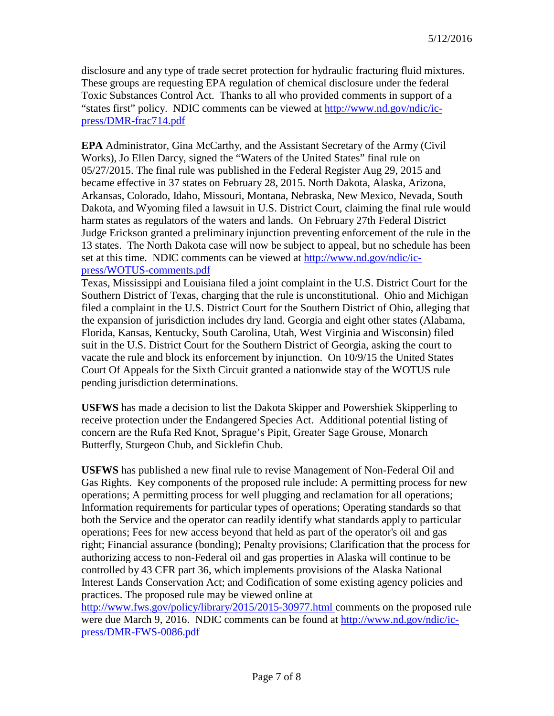disclosure and any type of trade secret protection for hydraulic fracturing fluid mixtures. These groups are requesting EPA regulation of chemical disclosure under the federal Toxic Substances Control Act. Thanks to all who provided comments in support of a "states first" policy. NDIC comments can be viewed at [http://www.nd.gov/ndic/ic](http://www.nd.gov/ndic/ic-press/DMR-frac714.pdf)[press/DMR-frac714.pdf](http://www.nd.gov/ndic/ic-press/DMR-frac714.pdf)

**EPA** Administrator, Gina McCarthy, and the Assistant Secretary of the Army (Civil Works), Jo Ellen Darcy, signed the "Waters of the United States" final rule on 05/27/2015. The final rule was published in the Federal Register Aug 29, 2015 and became effective in 37 states on February 28, 2015. North Dakota, Alaska, Arizona, Arkansas, Colorado, Idaho, Missouri, Montana, Nebraska, New Mexico, Nevada, South Dakota, and Wyoming filed a lawsuit in U.S. District Court, claiming the final rule would harm states as regulators of the waters and lands. On February 27th Federal District Judge Erickson granted a preliminary injunction preventing enforcement of the rule in the 13 states. The North Dakota case will now be subject to appeal, but no schedule has been set at this time. NDIC comments can be viewed at [http://www.nd.gov/ndic/ic](http://www.nd.gov/ndic/ic-press/WOTUS-comments.pdf)[press/WOTUS-comments.pdf](http://www.nd.gov/ndic/ic-press/WOTUS-comments.pdf)

Texas, Mississippi and Louisiana filed a joint complaint in the U.S. District Court for the Southern District of Texas, charging that the rule is unconstitutional. Ohio and Michigan filed a complaint in the U.S. District Court for the Southern District of Ohio, alleging that the expansion of jurisdiction includes dry land. Georgia and eight other states (Alabama, Florida, Kansas, Kentucky, South Carolina, Utah, West Virginia and Wisconsin) filed suit in the U.S. District Court for the Southern District of Georgia, asking the court to vacate the rule and block its enforcement by injunction. On 10/9/15 the United States Court Of Appeals for the Sixth Circuit granted a nationwide stay of the WOTUS rule pending jurisdiction determinations.

**USFWS** has made a decision to list the Dakota Skipper and Powershiek Skipperling to receive protection under the Endangered Species Act. Additional potential listing of concern are the Rufa Red Knot, Sprague's Pipit, Greater Sage Grouse, Monarch Butterfly, Sturgeon Chub, and Sicklefin Chub.

**USFWS** has published a new final rule to revise Management of Non-Federal Oil and Gas Rights. Key components of the proposed rule include: A permitting process for new operations; A permitting process for well plugging and reclamation for all operations; Information requirements for particular types of operations; Operating standards so that both the Service and the operator can readily identify what standards apply to particular operations; Fees for new access beyond that held as part of the operator's oil and gas right; Financial assurance (bonding); Penalty provisions; Clarification that the process for authorizing access to non-Federal oil and gas properties in Alaska will continue to be controlled by 43 CFR part 36, which implements provisions of the Alaska National Interest Lands Conservation Act; and Codification of some existing agency policies and practices. The proposed rule may be viewed online at

[http://www.fws.gov/policy/library/2015/2015-30977.html c](http://www.fws.gov/policy/library/2015/2015-30977.html)omments on the proposed rule were due March 9, 2016. NDIC comments can be found at [http://www.nd.gov/ndic/ic](http://www.nd.gov/ndic/ic-press/DMR-FWS-0086.pdf)[press/DMR-FWS-0086.pdf](http://www.nd.gov/ndic/ic-press/DMR-FWS-0086.pdf)